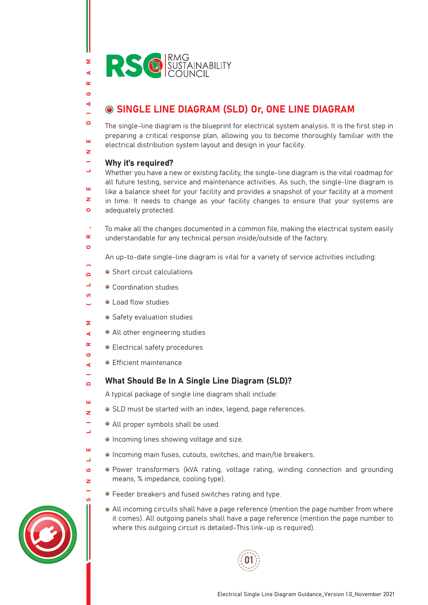

### SINGLE LINE DIAGRAM (SLD) Or, ONE LINE DIAGRAM

The single-line diagram is the blueprint for electrical system analysis. It is the first step in preparing a critical response plan, allowing you to become thoroughly familiar with the electrical distribution system layout and design in your facility.

#### Why it's required?

Σ ∢  $\alpha$  $\epsilon$ ∢

 $\blacksquare$ 

ш  $\overline{z}$ 

 $\circ$ 

 $\mathbf{u}$ 

 $\bullet$ 

 $\mathbf{H}$ 

L.

ш  $\overline{\phantom{a}}$ Ő z L.

 $\Box$ Whether you have a new or existing facility, the single-line diagram is the vital roadmap for all future testing, service and maintenance activities. As such, the single-line diagram is ш like a balance sheet for your facility and provides a snapshot of your facility at a moment  $\overline{z}$ in time. It needs to change as your facility changes to ensure that your systems are  $\sigma$ adequately protected.

SINGLE LINE DIAGRAM (SLD) OR, ONE LINE DIAGRAM To make all the changes documented in a common file, making the electrical system easily  $\alpha$ understandable for any technical person inside/outside of the factory.

An up-to-date single-line diagram is vital for a variety of service activities including:

- Short circuit calculations  $\overline{a}$
- $\mathbf{r}$ ● Coordination studies
- Load flow studies  $\overline{\phantom{0}}$
- Safety evaluation studies Σ
- All other engineering studies  $\blacktriangleleft$
- $\sim$ Electrical safety procedures
- **•** Efficient maintenance ∢
- What Should Be In A Single Line Diagram (SLD)?  $\Box$

A typical package of single line diagram shall include:

- SLD must be started with an index, legend, page references. z
	- All proper symbols shall be used.
	- Incoming lines showing voltage and size.
	- Incoming main fuses, cutouts, switches, and main/tie breakers.
	- Power transformers (kVA rating, voltage rating, winding connection and grounding means, % impedance, cooling type).
		- Feeder breakers and fused switches rating and type.
		- All incoming circuits shall have a page reference (mention the page number from where it comes). All outgoing panels shall have a page reference (mention the page number to where this outgoing circuit is detailed-This link-up is required).



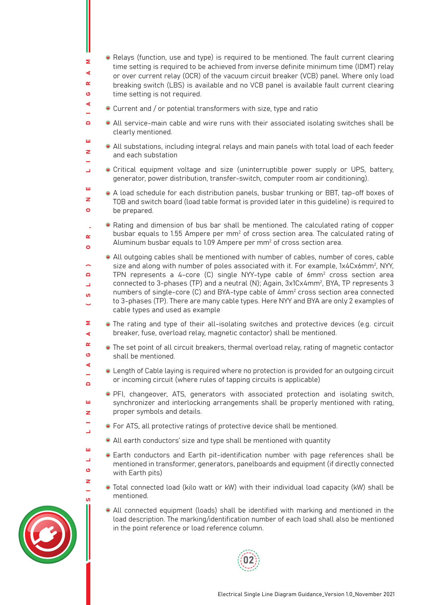- Relays (function, use and type) is required to be mentioned. The fault current clearing time setting is required to be achieved from inverse definite minimum time (IDMT) relay or over current relay (OCR) of the vacuum circuit breaker (VCB) panel. Where only load breaking switch (LBS) is available and no VCB panel is available fault current clearing time setting is not required.
- Current and / or potential transformers with size, type and ratio

Σ ⋖  $\alpha$  $\overline{a}$ ∢

ш  $\overline{\mathbf{z}}$ 

 $\overline{a}$  $\overline{\phantom{0}}$  $\mathbf{u}$ 

 $\sim$ Ő  $\blacktriangleleft$ 

 $\Box$ 

m z

ш  $\overline{\phantom{0}}$ Ő z L.

- $\blacksquare$ All service-main cable and wire runs with their associated isolating switches shall be clearly mentioned.
	- All substations, including integral relays and main panels with total load of each feeder and each substation
- Critical equipment voltage and size (uninterruptible power supply or UPS, battery,  $\Box$ generator, power distribution, transfer-switch, computer room air conditioning).
- ш A load schedule for each distribution panels, busbar trunking or BBT, tap-off boxes of  $\overline{z}$ TOB and switch board (load table format is provided later in this guideline) is required to  $\sigma$ be prepared.
- SINGLE LINE DIAGRAM (SLD) OR, ONE LINE DIAGRAM Rating and dimension of bus bar shall be mentioned. The calculated rating of copper busbar equals to 1.55 Ampere per mm<sup>2</sup> of cross section area. The calculated rating of  $\alpha$ Aluminum busbar equals to 1.09 Ampere per mm $^2$  of cross section area.  $\sigma$ 
	- All outgoing cables shall be mentioned with number of cables, number of cores, cable size and along with number of poles associated with it. For example, 1x4Cx6mm², NYY, TPN represents a 4-core (C) single NYY-type cable of  $6 \text{mm}^2$  cross section area connected to 3-phases (TP) and a neutral (N); Again, 3x1Cx4mm2 , BYA, TP represents 3 numbers of single-core (C) and BYA-type cable of  $4mm<sup>2</sup>$  cross section area connected to 3-phases (TP). There are many cable types. Here NYY and BYA are only 2 examples of cable types and used as example
- 5 The rating and type of their all-isolating switches and protective devices (e.g. circuit breaker, fuse, overload relay, magnetic contactor) shall be mentioned. ∢
	- The set point of all circuit breakers, thermal overload relay, rating of magnetic contactor shall be mentioned.
	- Length of Cable laying is required where no protection is provided for an outgoing circuit or incoming circuit (where rules of tapping circuits is applicable)
		- PFI, changeover, ATS, generators with associated protection and isolating switch, synchronizer and interlocking arrangements shall be properly mentioned with rating, proper symbols and details.
	- For ATS, all protective ratings of protective device shall be mentioned.
		- All earth conductors' size and type shall be mentioned with quantity
	- Earth conductors and Earth pit-identification number with page references shall be mentioned in transformer, generators, panelboards and equipment (if directly connected with Earth pits)
	- Total connected load (kilo watt or kW) with their individual load capacity (kW) shall be mentioned.
		- All connected equipment (loads) shall be identified with marking and mentioned in the load description. The marking/identification number of each load shall also be mentioned in the point reference or load reference column.



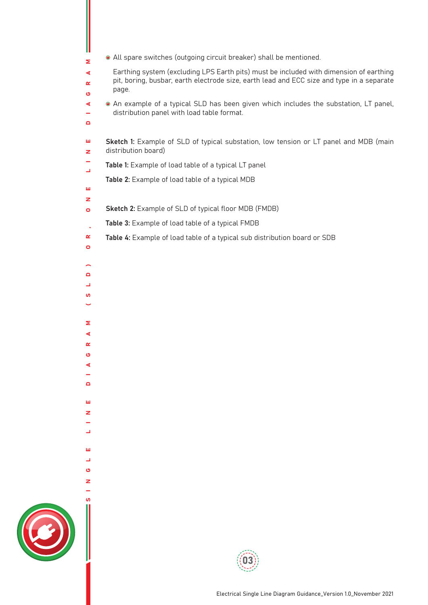| • All spare switches (outgoing circuit breaker) shall be mentioned.<br>Σ                                                                                                                                                  |
|---------------------------------------------------------------------------------------------------------------------------------------------------------------------------------------------------------------------------|
| Earthing system (excluding LPS Earth pits) must be included with dimension of earthing<br>$\blacktriangleleft$<br>pit, boring, busbar, earth electrode size, earth lead and ECC size and type in a separate<br>R<br>page. |
| Ó<br>• An example of a typical SLD has been given which includes the substation, LT panel,<br>$\blacktriangleleft$<br>distribution panel with load table format.<br>÷                                                     |
| D                                                                                                                                                                                                                         |
| Sketch 1: Example of SLD of typical substation, low tension or LT panel and MDB (main<br>ш<br>distribution board)<br>z                                                                                                    |
| Table 1: Example of load table of a typical LT panel<br>Щ                                                                                                                                                                 |
| Table 2: Example of load table of a typical MDB                                                                                                                                                                           |
| ш<br>z                                                                                                                                                                                                                    |
| Sketch 2: Example of SLD of typical floor MDB (FMDB)<br>$\bullet$                                                                                                                                                         |
| Table 3: Example of load table of a typical FMDB<br>$\mathbf{r}$                                                                                                                                                          |
| Table 4: Example of load table of a typical sub distribution board or SDB<br>œ                                                                                                                                            |
| O                                                                                                                                                                                                                         |
| $\overline{\phantom{1}}$                                                                                                                                                                                                  |
| D                                                                                                                                                                                                                         |
| ┙                                                                                                                                                                                                                         |
| w<br>$\check{\phantom{0}}$                                                                                                                                                                                                |
|                                                                                                                                                                                                                           |
| Σ                                                                                                                                                                                                                         |
| ⋖<br>œ                                                                                                                                                                                                                    |
| ဖ                                                                                                                                                                                                                         |
|                                                                                                                                                                                                                           |
| Δ                                                                                                                                                                                                                         |
|                                                                                                                                                                                                                           |
| ш                                                                                                                                                                                                                         |
| z                                                                                                                                                                                                                         |
|                                                                                                                                                                                                                           |
|                                                                                                                                                                                                                           |
| ш                                                                                                                                                                                                                         |
| ပ                                                                                                                                                                                                                         |
|                                                                                                                                                                                                                           |
|                                                                                                                                                                                                                           |
|                                                                                                                                                                                                                           |
|                                                                                                                                                                                                                           |
| Electrical Single Line Diagram Guidance_Version 1.0_November 2021                                                                                                                                                         |

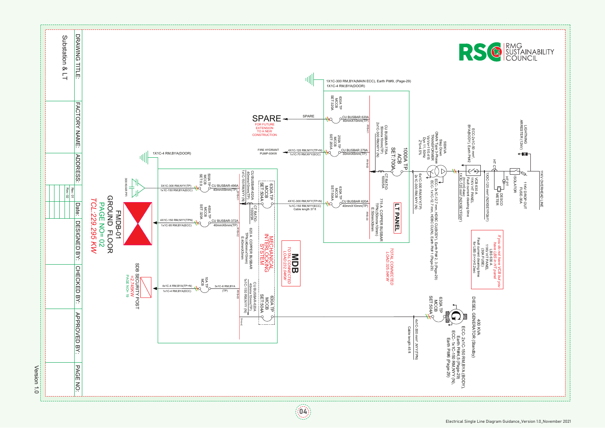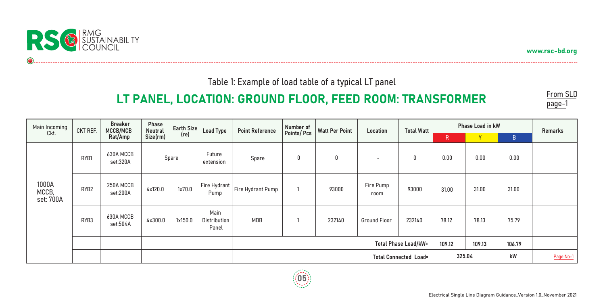

www.rsc-bd.org

Table 1: Example of load table of a typical LT panel

# LT PANEL, LOCATION: GROUND FLOOR, FEED ROOM: TRANSFORMER

From SLD page-<sup>1</sup>

| Main Incoming               | CKT REF.         | <b>Breaker</b><br>MCCB/MCB | Phase<br><b>Neutral</b> | Earth Size | <b>Load Type</b>                       | <b>Point Reference</b> | Number of  | <b>Watt Per Point</b> | Location                 | <b>Total Watt</b> |       | <b>Phase Load in kW</b> |              | <b>Remarks</b> |
|-----------------------------|------------------|----------------------------|-------------------------|------------|----------------------------------------|------------------------|------------|-----------------------|--------------------------|-------------------|-------|-------------------------|--------------|----------------|
| Ckt.                        |                  | Rat/Amp                    | Size(rm)                | (re)       |                                        |                        | Points/Pcs |                       |                          |                   | R     | Y.                      | $\mathsf{B}$ |                |
| 1000A<br>MCCB,<br>set: 700A | RYB1             | 630A MCCB<br>set:320A      | Spare                   |            | Future<br>extension                    | Spare                  | 0          | 0                     | $\overline{\phantom{0}}$ | 0                 | 0.00  | 0.00                    | 0.00         |                |
|                             | RYB <sub>2</sub> | 250A MCCB<br>set:200A      | 4x120.0                 | 1x70.0     | Fire Hydrant<br>Pump                   | Fire Hydrant Pump      |            | 93000                 | Fire Pump<br>room        | 93000             | 31.00 | 31.00                   | 31.00        |                |
|                             | RYB3             | 630A MCCB<br>set:504A      | 4x300.0                 | 1x150.0    | Main<br>Distribution<br>Panel          | MDB                    |            | 232140                | Ground Floor             | 232140            | 78.12 | 78.13                   | 75.79        |                |
|                             |                  |                            |                         |            | <b>Total Phase Load/kW=</b><br>109.12  |                        |            |                       |                          |                   |       |                         | 106.79       |                |
|                             |                  |                            |                         |            | 325.04<br><b>Total Connected Load=</b> |                        |            |                       |                          |                   |       |                         | kW           | Page No-1      |

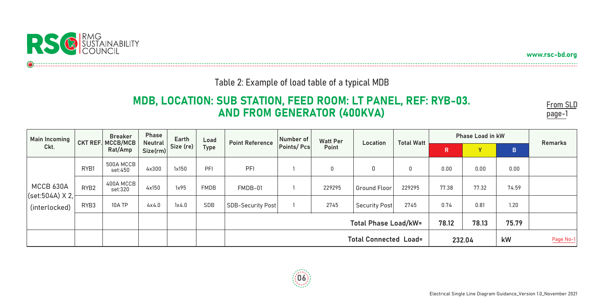

www.rsc-bd.org

From SLD page-1

### Table 2: Example of load table of a typical MDB

## MDB, LOCATION: SUB STATION, FEED ROOM: LT PANEL, REF: RYB-03. AND FROM GENERATOR (400KVA)



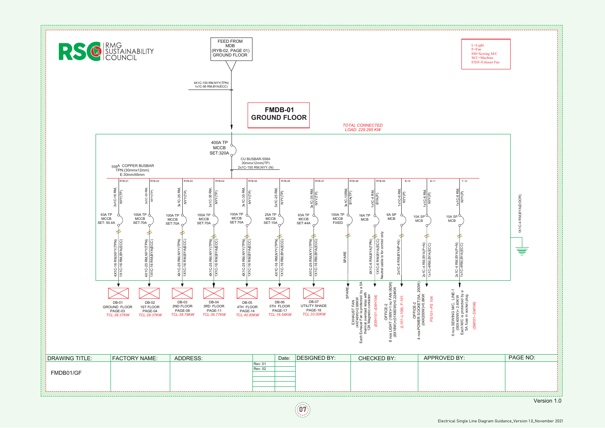



Electrical Single Line Diagram Guidance\_Version 1.0\_November 2021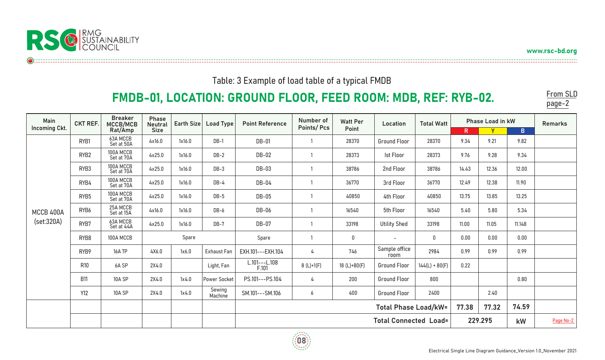

www.rsc-bd.org

### Table: 3 Example of load table of a typical FMDB

# FMDB-01, LOCATION: GROUND FLOOR, FEED ROOM: MDB, REF: RYB-02.

From SLD page-2

| Main<br>Incoming Ckt.   | <b>CKT REF.</b>  | <b>Breaker</b><br>MCCB/MCB | Phase<br><b>Neutral</b><br><b>Size</b> | Earth Size | <b>Load Type</b>   | <b>Point Reference</b>                        | Number of         | <b>Watt Per</b> | Location                     | <b>Total Watt</b> | <b>Phase Load in kW</b> | <b>Remarks</b> |             |           |
|-------------------------|------------------|----------------------------|----------------------------------------|------------|--------------------|-----------------------------------------------|-------------------|-----------------|------------------------------|-------------------|-------------------------|----------------|-------------|-----------|
|                         |                  | Rat/Amp                    |                                        |            |                    |                                               | <b>Points/Pcs</b> | Point           |                              |                   | $\mathsf{R}$            | Y              | $\mathsf B$ |           |
| MCCB 400A<br>(set:320A) | RYB1             | 63A MCCB<br>Set at 50A     | 4x16.0                                 | 1x16.0     | $DB-1$             | <b>DB-01</b>                                  |                   | 28370           | <b>Ground Floor</b>          | 28370             | 9.34                    | 9.21           | 9.82        |           |
|                         | RYB <sub>2</sub> | 100A MCCB<br>Set at 70A    | 4x25.0                                 | 1x16.0     | $DB-2$             | DB-02                                         | $\mathbf{1}$      | 28373           | <b>Ist Floor</b>             | 28373             | 9.76                    | 9.28           | 9.34        |           |
|                         | RYB3             | 100A MCCB<br>Set at 70A    | 4x25.0                                 | 1x16.0     | $DB-3$             | DB-03                                         | 1                 | 38786           | 2nd Floor                    | 38786             | 14.43                   | 12.36          | 12.00       |           |
|                         | RYB4             | 100A MCCB<br>Set at 70A    | 4x25.0                                 | 1x16.0     | $DB-4$             | $DB-04$                                       |                   | 36770           | 3rd Floor                    | 36770             | 12.49                   | 12.38          | 11.90       |           |
|                         | RYB5             | 100A MCCB<br>Set at 70A    | 4x25.0                                 | 1x16.0     | $DB-5$             | <b>DB-05</b>                                  | -1                | 40850           | 4th Floor                    | 40850             | 13.75                   | 13.85          | 13.25       |           |
|                         | RYB6             | 25A MCCB<br>Set at 15A     | 4x16.0                                 | 1x16.0     | $DB-6$             | DB-06                                         | $\mathbf{1}$      | 16540           | 5th Floor                    | 16540             | 5.40                    | 5.80           | 5.34        |           |
|                         | RYB7             | 63A MCCB<br>Set at 44A     | 4x25.0                                 | 1x16.0     | $DB-7$             | <b>DB-07</b>                                  | $\mathbf{1}$      | 33198           | <b>Utility Shed</b>          | 33198             | 11.00                   | 11.05          | 11.148      |           |
|                         | RYB8             | 100A MCCB                  | Spare                                  |            |                    | Spare                                         | $\mathbf{1}$      | $\mathbf 0$     | $\overline{\phantom{a}}$     | 0                 | 0.00                    | 0.00           | 0.00        |           |
|                         | RYB9             | 16A TP                     | 4X6.0                                  | 1x6.0      | <b>Exhaust Fan</b> | EXH.101---EXH.104                             | 4                 | 746             | Sample office<br>room        | 2984              | 0.99                    | 0.99           | 0.99        |           |
|                         | <b>R10</b>       | 6A SP                      | 2X4.0                                  |            | Light, Fan         | L.101---L.108<br>F.101                        | $8(L)+1(F)$       | 18 $(L)+80(F)$  | <b>Ground Floor</b>          | $144(L) + 80(F)$  | 0.22                    |                |             |           |
|                         | <b>B11</b>       | 10A SP                     | 2X4.0                                  | 1x4.0      | Power Socket       | PS.101---PS.104                               | 4                 | 200             | <b>Ground Floor</b>          | 800               |                         |                | 0.80        |           |
|                         | <b>Y12</b>       | 10A SP                     | 2X4.0                                  | 1x4.0      | Sewing<br>Machine  | SM.101---SM.106                               | 6                 | 400             | <b>Ground Floor</b>          | 2400              |                         | 2.40           |             |           |
|                         |                  |                            |                                        |            |                    | 77.38<br>77.32<br><b>Total Phase Load/kW=</b> |                   |                 |                              |                   |                         |                | 74.59       |           |
|                         |                  |                            |                                        |            |                    |                                               |                   |                 | <b>Total Connected Load=</b> |                   |                         | 229.295        | kW          | Page No-2 |